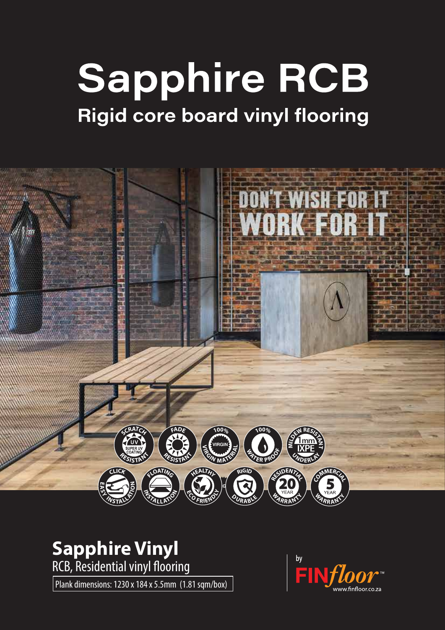## **Sapphire RCB Rigid core board vinyl flooring**



## **Sapphire Vinyl**

RCB, Residential vinyl flooring

Plank dimensions: 1230 x 184 x 5.5mm (1.81 sqm/box)